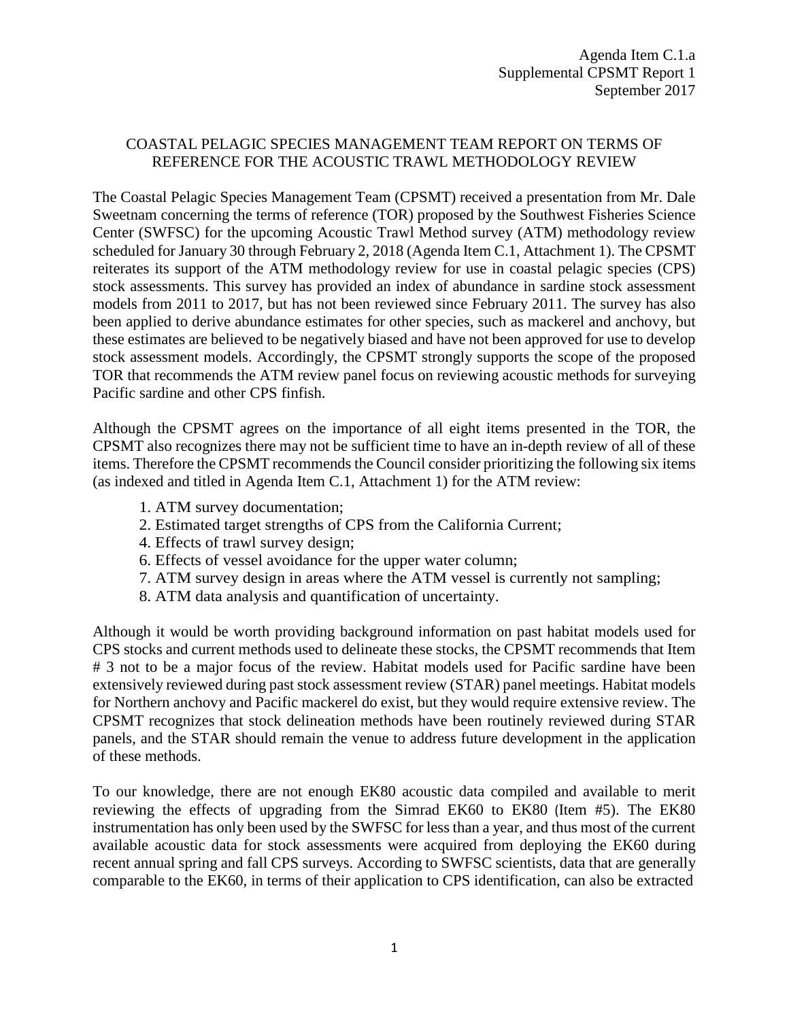## COASTAL PELAGIC SPECIES MANAGEMENT TEAM REPORT ON TERMS OF REFERENCE FOR THE ACOUSTIC TRAWL METHODOLOGY REVIEW

The Coastal Pelagic Species Management Team (CPSMT) received a presentation from Mr. Dale Sweetnam concerning the terms of reference (TOR) proposed by the Southwest Fisheries Science Center (SWFSC) for the upcoming Acoustic Trawl Method survey (ATM) methodology review scheduled for January 30 through February 2, 2018 (Agenda Item C.1, Attachment 1). The CPSMT reiterates its support of the ATM methodology review for use in coastal pelagic species (CPS) stock assessments. This survey has provided an index of abundance in sardine stock assessment models from 2011 to 2017, but has not been reviewed since February 2011. The survey has also been applied to derive abundance estimates for other species, such as mackerel and anchovy, but these estimates are believed to be negatively biased and have not been approved for use to develop stock assessment models. Accordingly, the CPSMT strongly supports the scope of the proposed TOR that recommends the ATM review panel focus on reviewing acoustic methods for surveying Pacific sardine and other CPS finfish.

Although the CPSMT agrees on the importance of all eight items presented in the TOR, the CPSMT also recognizes there may not be sufficient time to have an in-depth review of all of these items. Therefore the CPSMT recommends the Council consider prioritizing the following six items (as indexed and titled in Agenda Item C.1, Attachment 1) for the ATM review:

- 1. ATM survey documentation;
- 2. Estimated target strengths of CPS from the California Current;
- 4. Effects of trawl survey design;
- 6. Effects of vessel avoidance for the upper water column;
- 7. ATM survey design in areas where the ATM vessel is currently not sampling;
- 8. ATM data analysis and quantification of uncertainty.

Although it would be worth providing background information on past habitat models used for CPS stocks and current methods used to delineate these stocks, the CPSMT recommends that Item # 3 not to be a major focus of the review. Habitat models used for Pacific sardine have been extensively reviewed during past stock assessment review (STAR) panel meetings. Habitat models for Northern anchovy and Pacific mackerel do exist, but they would require extensive review. The CPSMT recognizes that stock delineation methods have been routinely reviewed during STAR panels, and the STAR should remain the venue to address future development in the application of these methods.

To our knowledge, there are not enough EK80 acoustic data compiled and available to merit reviewing the effects of upgrading from the Simrad EK60 to EK80 (Item #5). The EK80 instrumentation has only been used by the SWFSC for less than a year, and thus most of the current available acoustic data for stock assessments were acquired from deploying the EK60 during recent annual spring and fall CPS surveys. According to SWFSC scientists, data that are generally comparable to the EK60, in terms of their application to CPS identification, can also be extracted